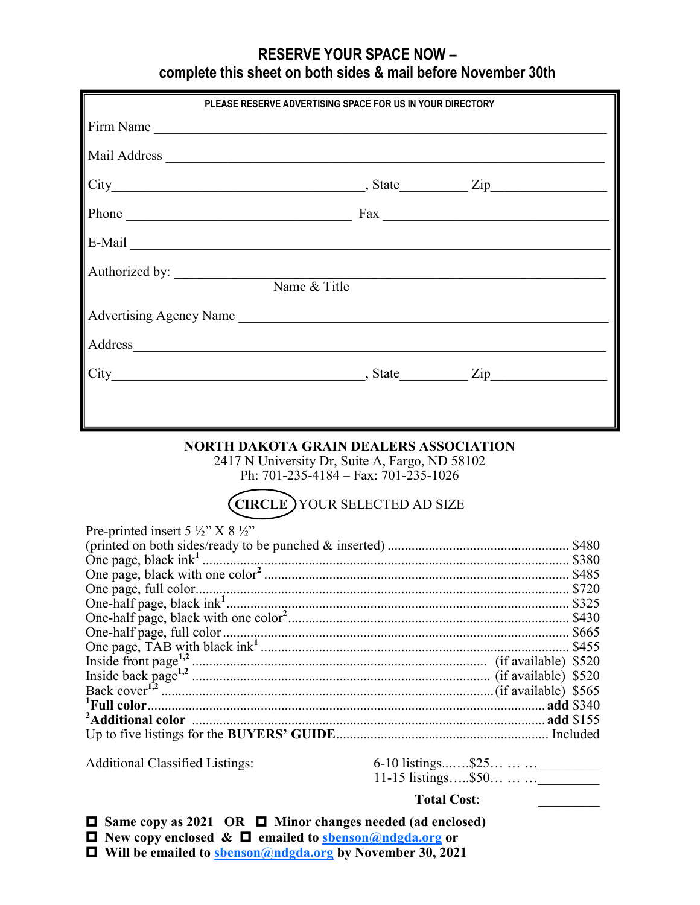## **RESERVE YOUR SPACE NOW – complete this sheet on both sides & mail before November 30th**

|                                                                                                                                                                                                                                | PLEASE RESERVE ADVERTISING SPACE FOR US IN YOUR DIRECTORY                                                                                                                        |                                                                               |
|--------------------------------------------------------------------------------------------------------------------------------------------------------------------------------------------------------------------------------|----------------------------------------------------------------------------------------------------------------------------------------------------------------------------------|-------------------------------------------------------------------------------|
|                                                                                                                                                                                                                                |                                                                                                                                                                                  |                                                                               |
|                                                                                                                                                                                                                                |                                                                                                                                                                                  |                                                                               |
|                                                                                                                                                                                                                                |                                                                                                                                                                                  |                                                                               |
|                                                                                                                                                                                                                                |                                                                                                                                                                                  |                                                                               |
| Phone Fax Fax Fax Phone                                                                                                                                                                                                        |                                                                                                                                                                                  |                                                                               |
| E-Mail Land and the second state of the second state of the second state of the second state of the second state of the second state of the second state of the second state of the second state of the second state of the se |                                                                                                                                                                                  |                                                                               |
| Authorized by: Name & Title                                                                                                                                                                                                    |                                                                                                                                                                                  |                                                                               |
|                                                                                                                                                                                                                                |                                                                                                                                                                                  |                                                                               |
| Advertising Agency Name Advertising Agency Name                                                                                                                                                                                |                                                                                                                                                                                  |                                                                               |
| Address and the contract of the contract of the contract of the contract of the contract of the contract of the contract of the contract of the contract of the contract of the contract of the contract of the contract of th |                                                                                                                                                                                  |                                                                               |
| City Zip                                                                                                                                                                                                                       |                                                                                                                                                                                  |                                                                               |
|                                                                                                                                                                                                                                |                                                                                                                                                                                  |                                                                               |
|                                                                                                                                                                                                                                | <b>NORTH DAKOTA GRAIN DEALERS ASSOCIATION</b><br>2417 N University Dr, Suite A, Fargo, ND 58102<br>Ph: $701-235-4184 - Fax: 701-235-1026$<br><b>CIRCLE</b> YOUR SELECTED AD SIZE |                                                                               |
|                                                                                                                                                                                                                                |                                                                                                                                                                                  |                                                                               |
| Pre-printed insert 5 $\frac{1}{2}$ " X 8 $\frac{1}{2}$ "                                                                                                                                                                       |                                                                                                                                                                                  |                                                                               |
|                                                                                                                                                                                                                                |                                                                                                                                                                                  |                                                                               |
|                                                                                                                                                                                                                                |                                                                                                                                                                                  |                                                                               |
|                                                                                                                                                                                                                                |                                                                                                                                                                                  |                                                                               |
|                                                                                                                                                                                                                                |                                                                                                                                                                                  |                                                                               |
|                                                                                                                                                                                                                                |                                                                                                                                                                                  |                                                                               |
|                                                                                                                                                                                                                                |                                                                                                                                                                                  |                                                                               |
|                                                                                                                                                                                                                                |                                                                                                                                                                                  |                                                                               |
| Ingida hook noon $1,2$                                                                                                                                                                                                         |                                                                                                                                                                                  | $(i\text{f}\text{a}\text{v}\text{a}\text{d}\text{b}\text{d}\text{a})$ $\&520$ |

Inside back page**1,2** ....................................................................................... (if available) \$520 Back cover**1,2** .................................................................................................(if available) \$565 **<sup>1</sup>Full color**.................................................................................................................... **add** \$340 **<sup>2</sup>Additional color** ....................................................................................................... **add** \$155 Up to five listings for the **BUYERS' GUIDE**.............................................................. Included

Additional Classified Listings: 6-10 listings.......\$25... ... ... \_\_\_\_\_\_\_\_\_\_\_\_\_ 11-15 listings…..\$50… … …

## **Total Cost**: \_\_\_\_\_\_\_\_\_

 **Same copy as 2021 OR Minor changes needed (ad enclosed)**

 **New copy enclosed & emailed to [sbenson@ndgda.org](mailto:cwelle@ndgda.org) or**

 **Will be emailed to [sbenson@ndgda.org](mailto:cwelle@ndgda.org) by November 30, 2021**